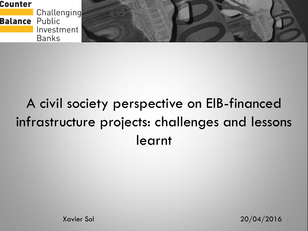

# A civil society perspective on EIB-financed infrastructure projects: challenges and lessons learnt

Xavier Sol 20/04/2016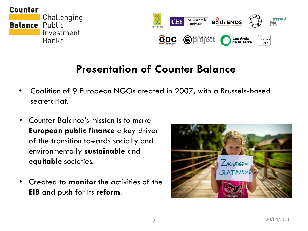



## **Presentation of Counter Balance**

- Coalition of 9 European NGOs created in 2007, with a Brussels-based secretariat.
- Counter Balance's mission is to make **European public finance** a key driver of the transition towards socially and environmentally **sustainable** and **equitable** societies.
- Created to **monitor** the activities of the **EIB** and push for its **reform**.

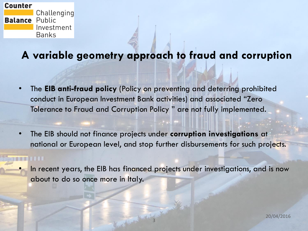

#### **A variable geometry approach to fraud and corruption**

- The **EIB anti-fraud policy** (Policy on preventing and deterring prohibited conduct in European Investment Bank activities) and associated "Zero Tolerance to Fraud and Corruption Policy " are not fully implemented.
- The EIB should not finance projects under **corruption investigations** at national or European level, and stop further disbursements for such projects.

In recent years, the EIB has financed projects under investigations, and is now about to do so once more in Italy.

3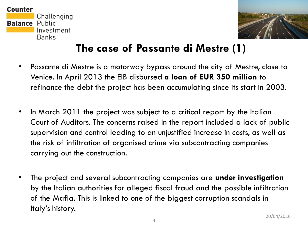

Challenging **Balance Public** Investment **Banks** 



## **The case of Passante di Mestre (1)**

- Passante di Mestre is a motorway bypass around the city of Mestre, close to Venice. In April 2013 the EIB disbursed **a loan of EUR 350 million** to refinance the debt the project has been accumulating since its start in 2003.
- In March 2011 the project was subject to a critical report by the Italian Court of Auditors. The concerns raised in the report included a lack of public supervision and control leading to an unjustified increase in costs, as well as the risk of infiltration of organised crime via subcontracting companies carrying out the construction.
- The project and several subcontracting companies are **under investigation**  by the Italian authorities for alleged fiscal fraud and the possible infiltration of the Mafia. This is linked to one of the biggest corruption scandals in Italy's history.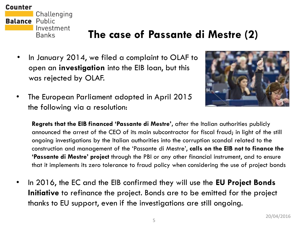#### **Counter**

Challenging **Balance Public** Investment **Banks** 

### **The case of Passante di Mestre (2)**

- In January 2014, we filed a complaint to OLAF to open an **investigation** into the EIB loan, but this was rejected by OLAF.
- The European Parliament adopted in April 2015 the following via a resolution:



**Regrets that the EIB financed 'Passante di Mestre',** after the Italian authorities publicly announced the arrest of the CEO of its main subcontractor for fiscal fraud; in light of the still ongoing investigations by the Italian authorities into the corruption scandal related to the construction and management of the 'Passante di Mestre', **calls on the EIB not to finance the 'Passante di Mestre' project** through the PBI or any other financial instrument, and to ensure that it implements its zero tolerance to fraud policy when considering the use of project bonds

• In 2016, the EC and the EIB confirmed they will use the **EU Project Bonds Initiative** to refinance the project. Bonds are to be emitted for the project thanks to EU support, even if the investigations are still ongoing.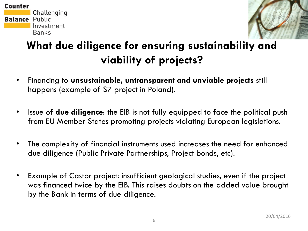



# **What due diligence for ensuring sustainability and viability of projects?**

- Financing to **unsustainable, untransparent and unviable projects** still happens (example of S7 project in Poland).
- Issue of **due diligence**: the EIB is not fully equipped to face the political push from EU Member States promoting projects violating European legislations.
- The complexity of financial instruments used increases the need for enhanced due diligence (Public Private Partnerships, Project bonds, etc).
- Example of Castor project: insufficient geological studies, even if the project was financed twice by the EIB. This raises doubts on the added value brought by the Bank in terms of due diligence.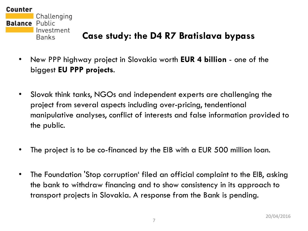

#### **Case study: the D4 R7 Bratislava bypass**

- New PPP highway project in Slovakia worth **EUR 4 billion**  one of the biggest **EU PPP projects**.
- Slovak think tanks, NGOs and independent experts are challenging the project from several aspects including over-pricing, tendentional manipulative analyses, conflict of interests and false information provided to the public.
- The project is to be co-financed by the EIB with a EUR 500 million loan.
- The Foundation 'Stop corruption' filed an official complaint to the EIB, asking the bank to withdraw financing and to show consistency in its approach to transport projects in Slovakia. A response from the Bank is pending.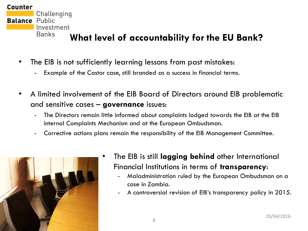#### **Counter**

Challenging **Balance** Public Investment **Banks** 

#### **What level of accountability for the EU Bank?**

- The EIB is not sufficiently learning lessons from past mistakes:
	- Example of the Castor case, still branded as a success in financial terms.
- A limited involvement of the EIB Board of Directors around EIB problematic and sensitive cases – **governance** issues:
	- The Directors remain little informed about complaints lodged towards the EIB at the EIB internal Complaints Mechanism and at the European Ombudsman.
	- Corrective actions plans remain the responsibility of the EIB Management Committee.



- The EIB is still **lagging behind** other International Financial Institutions in terms of **transparency**:
	- Maladministration ruled by the European Ombudsman on a case in Zambia.
	- A controversial revision of EIB's transparency policy in 2015.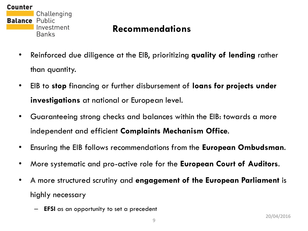#### Counter

Challenging **Balance Public** Investment **Banks** 

#### **Recommendations**

- Reinforced due diligence at the EIB, prioritizing **quality of lending** rather than quantity.
- EIB to **stop** financing or further disbursement of **loans for projects under investigations** at national or European level.
- Guaranteeing strong checks and balances within the EIB: towards a more independent and efficient **Complaints Mechanism Office**.
- Ensuring the EIB follows recommendations from the **European Ombudsman**.
- More systematic and pro-active role for the **European Court of Auditors**.
- A more structured scrutiny and **engagement of the European Parliament** is highly necessary
	- **EFSI** as an opportunity to set a precedent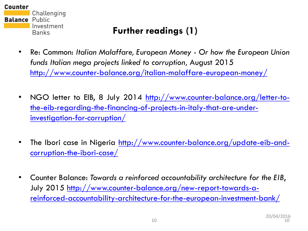

#### **Further readings (1)**

- Re: Common: *Italian Malaffare, European Money - Or how the European Union funds Italian mega projects linked to corruption,* August 2015 <http://www.counter-balance.org/italian-malaffare-european-money/>
- NGO letter to EIB, 8 July 2014 [http://www.counter-balance.org/letter-to](http://www.counter-balance.org/letter-to-the-eib-regarding-the-financing-of-projects-in-italy-that-are-under-investigation-for-corruption/)[the-eib-regarding-the-financing-of-projects-in-italy-that-are-under](http://www.counter-balance.org/letter-to-the-eib-regarding-the-financing-of-projects-in-italy-that-are-under-investigation-for-corruption/)[investigation-for-corruption/](http://www.counter-balance.org/letter-to-the-eib-regarding-the-financing-of-projects-in-italy-that-are-under-investigation-for-corruption/)
- The Ibori case in Nigeria [http://www.counter-balance.org/update-eib-and](http://www.counter-balance.org/update-eib-and-corruption-the-ibori-case/)[corruption-the-ibori-case/](http://www.counter-balance.org/update-eib-and-corruption-the-ibori-case/)
- Counter Balance: *Towards a reinforced accountability architecture for the EIB*, July 2015 [http://www.counter-balance.org/new-report-towards-a](http://www.counter-balance.org/new-report-towards-a-reinforced-accountability-architecture-for-the-european-investment-bank/)[reinforced-accountability-architecture-for-the-european-investment-bank/](http://www.counter-balance.org/new-report-towards-a-reinforced-accountability-architecture-for-the-european-investment-bank/)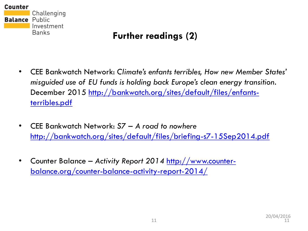

#### **Further readings (2)**

- CEE Bankwatch Network: *Climate's enfants terribles, How new Member States' misguided use of EU funds is holding back Europe's clean energy transition*. December 2015 [http://bankwatch.org/sites/default/files/enfants](http://bankwatch.org/sites/default/files/enfants-terribles.pdf)[terribles.pdf](http://bankwatch.org/sites/default/files/enfants-terribles.pdf)
- CEE Bankwatch Network: *S7 – A road to nowhere* <http://bankwatch.org/sites/default/files/briefing-s7-15Sep2014.pdf>
- Counter Balance *Activity Report 2014* [http://www.counter](http://www.counter-balance.org/counter-balance-activity-report-2014/)[balance.org/counter-balance-activity-report-2014/](http://www.counter-balance.org/counter-balance-activity-report-2014/)